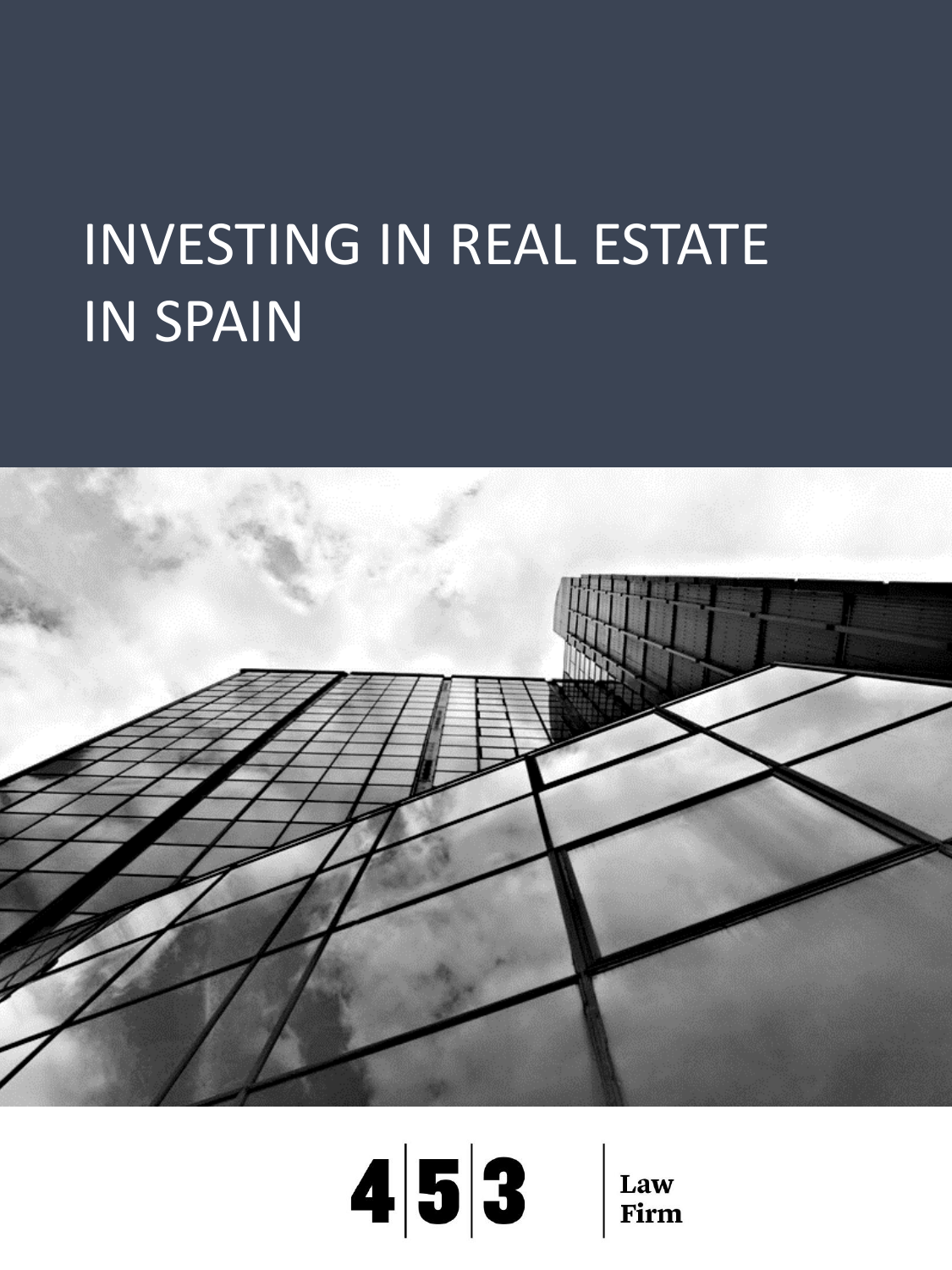# INVESTING IN REAL ESTATE IN SPAIN



# $4|5|3$ Law Firm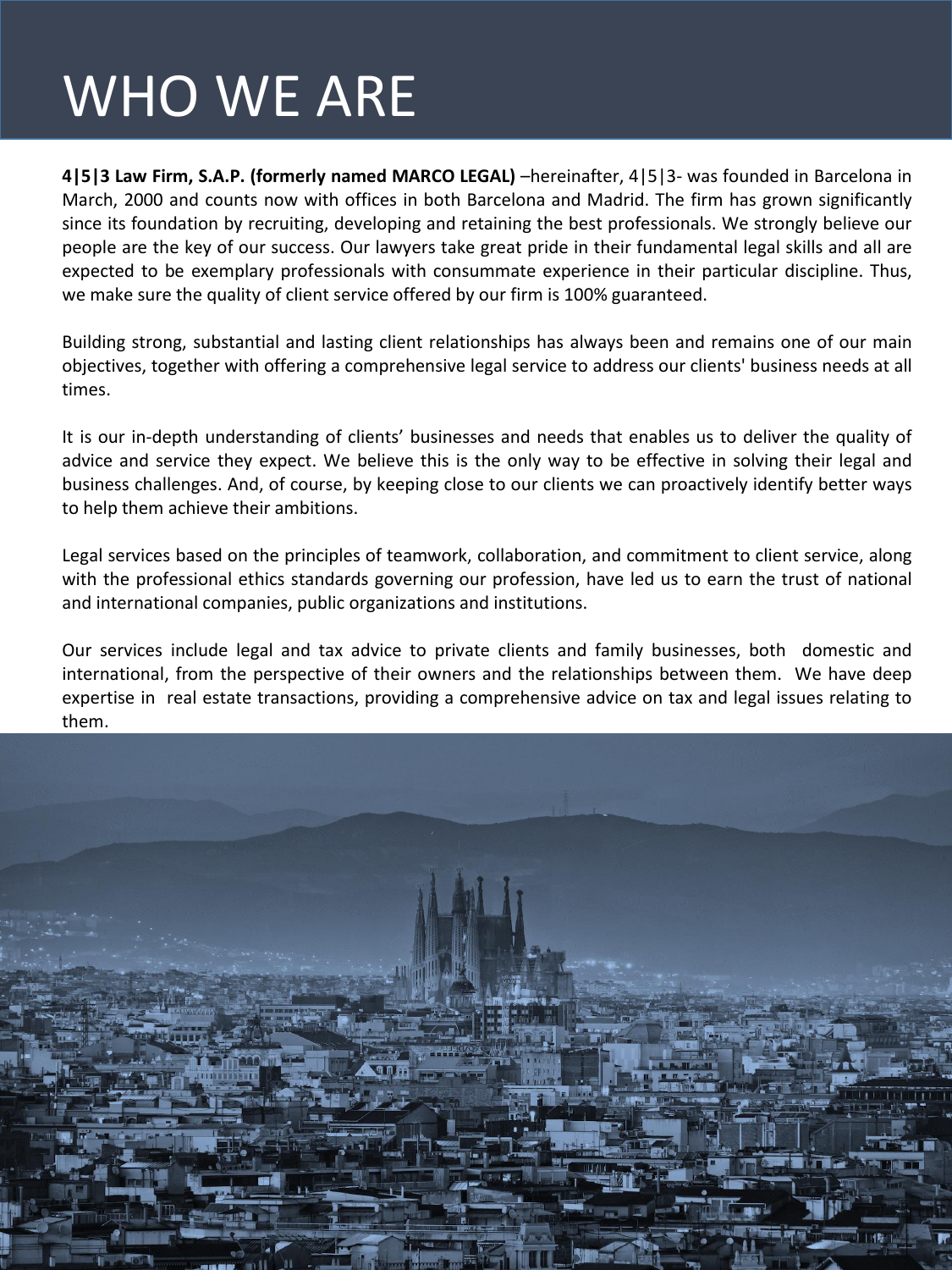# WHO WE ARE

**4|5|3 Law Firm, S.A.P. (formerly named MARCO LEGAL)** –hereinafter, 4|5|3- was founded in Barcelona in March, 2000 and counts now with offices in both Barcelona and Madrid. The firm has grown significantly since its foundation by recruiting, developing and retaining the best professionals. We strongly believe our people are the key of our success. Our lawyers take great pride in their fundamental legal skills and all are expected to be exemplary professionals with consummate experience in their particular discipline. Thus, we make sure the quality of client service offered by our firm is 100% guaranteed.

Building strong, substantial and lasting client relationships has always been and remains one of our main objectives, together with offering a comprehensive legal service to address our clients' business needs at all times.

It is our in-depth understanding of clients' businesses and needs that enables us to deliver the quality of advice and service they expect. We believe this is the only way to be effective in solving their legal and business challenges. And, of course, by keeping close to our clients we can proactively identify better ways to help them achieve their ambitions.

Legal services based on the principles of teamwork, collaboration, and commitment to client service, along with the professional ethics standards governing our profession, have led us to earn the trust of national and international companies, public organizations and institutions.

Our services include legal and tax advice to private clients and family businesses, both domestic and international, from the perspective of their owners and the relationships between them. We have deep expertise in real estate transactions, providing a comprehensive advice on tax and legal issues relating to them..

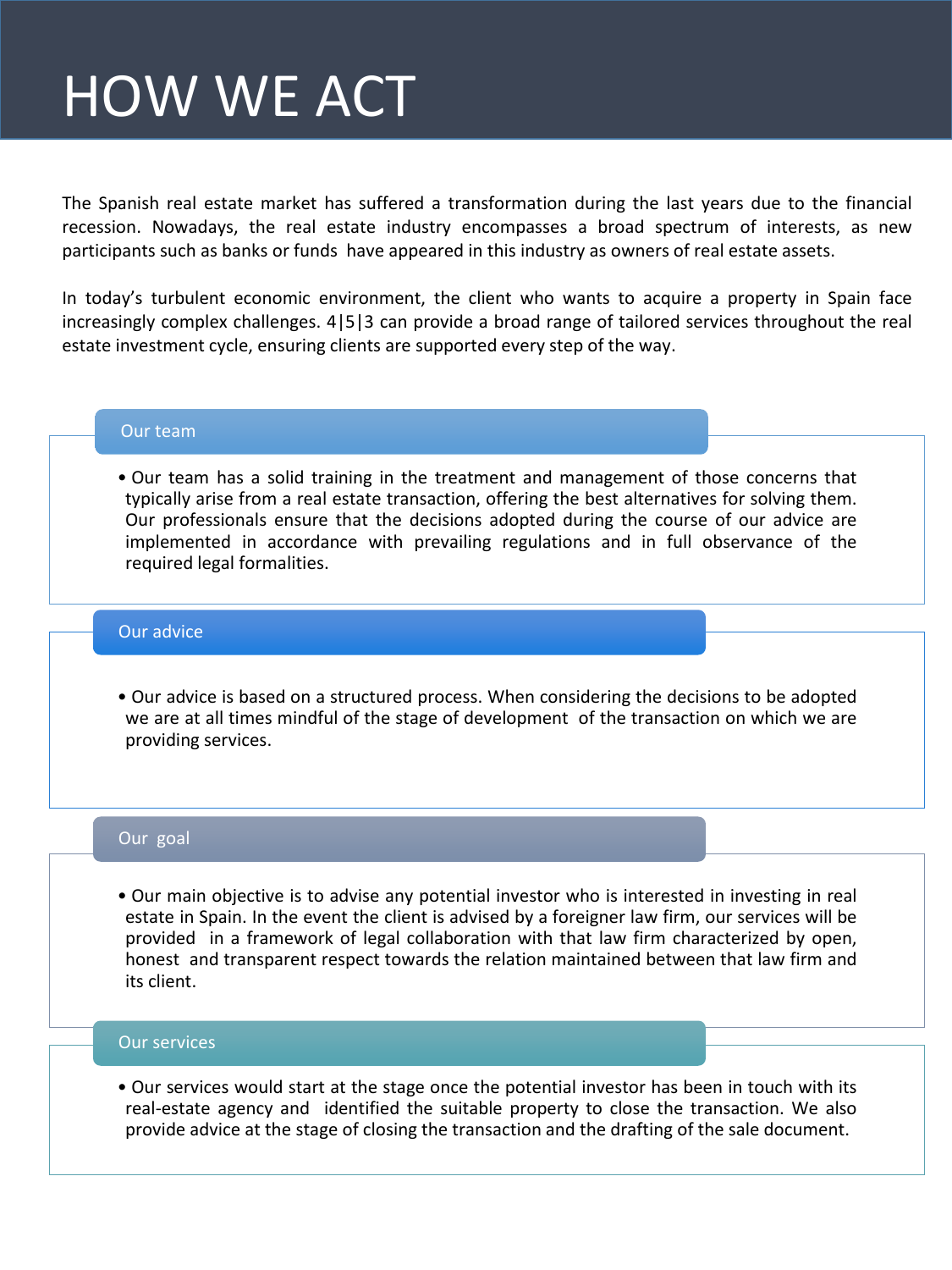# HOW WE ACT

The Spanish real estate market has suffered a transformation during the last years due to the financial recession. Nowadays, the real estate industry encompasses a broad spectrum of interests, as new participants such as banks or funds have appeared in this industry as owners of real estate assets.

In today's turbulent economic environment, the client who wants to acquire a property in Spain face increasingly complex challenges. 4|5|3 can provide a broad range of tailored services throughout the real estate investment cycle, ensuring clients are supported every step of the way.

#### Our team

• Our team has a solid training in the treatment and management of those concerns that typically arise from a real estate transaction, offering the best alternatives for solving them. Our professionals ensure that the decisions adopted during the course of our advice are implemented in accordance with prevailing regulations and in full observance of the required legal formalities.

#### Our advice

• Our advice is based on a structured process. When considering the decisions to be adopted we are at all times mindful of the stage of development of the transaction on which we are providing services.

### Our goal

• Our main objective is to advise any potential investor who is interested in investing in real estate in Spain. In the event the client is advised by a foreigner law firm, our services will be provided in a framework of legal collaboration with that law firm characterized by open, honest and transparent respect towards the relation maintained between that law firm and its client.

#### Our services

• Our services would start at the stage once the potential investor has been in touch with its real-estate agency and identified the suitable property to close the transaction. We also provide advice at the stage of closing the transaction and the drafting of the sale document.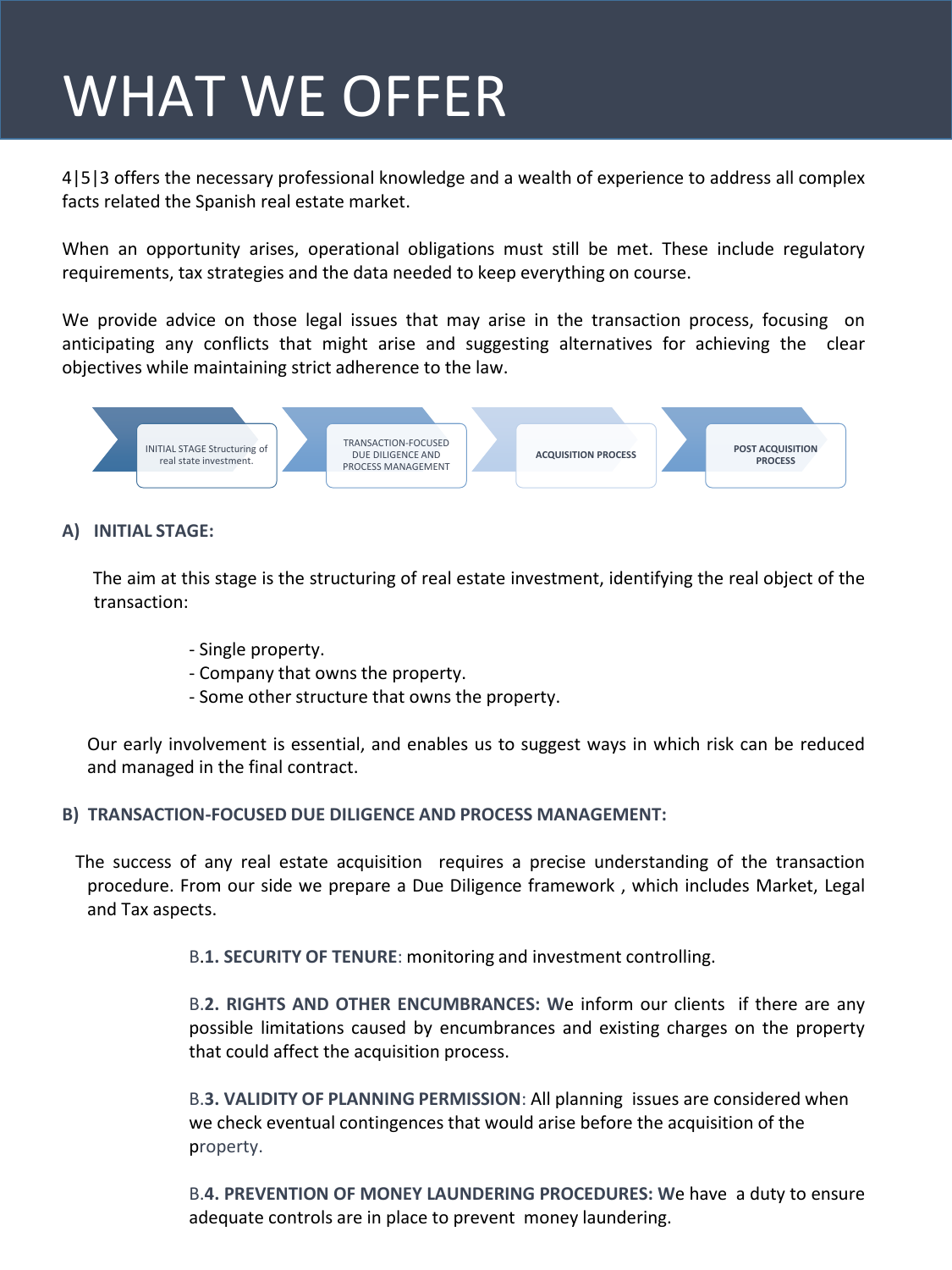# WHAT WE OFFER

4|5|3 offers the necessary professional knowledge and a wealth of experience to address all complex facts related the Spanish real estate market.

When an opportunity arises, operational obligations must still be met. These include regulatory requirements, tax strategies and the data needed to keep everything on course.

We provide advice on those legal issues that may arise in the transaction process, focusing on anticipating any conflicts that might arise and suggesting alternatives for achieving the clear objectives while maintaining strict adherence to the law.



# **A) INITIAL STAGE:**

The aim at this stage is the structuring of real estate investment, identifying the real object of the transaction:

- Single property.
- Company that owns the property.
- Some other structure that owns the property.

Our early involvement is essential, and enables us to suggest ways in which risk can be reduced and managed in the final contract.

# **B) TRANSACTION-FOCUSED DUE DILIGENCE AND PROCESS MANAGEMENT:**

The success of any real estate acquisition requires a precise understanding of the transaction procedure. From our side we prepare a Due Diligence framework , which includes Market, Legal and Tax aspects.

B.**1. SECURITY OF TENURE**: monitoring and investment controlling.

B.**2. RIGHTS AND OTHER ENCUMBRANCES: W**e inform our clients if there are any possible limitations caused by encumbrances and existing charges on the property that could affect the acquisition process.

B.**3. VALIDITY OF PLANNING PERMISSION**: All planning issues are considered when we check eventual contingences that would arise before the acquisition of the property.

B.**4. PREVENTION OF MONEY LAUNDERING PROCEDURES: W**e have a duty to ensure adequate controls are in place to prevent money laundering.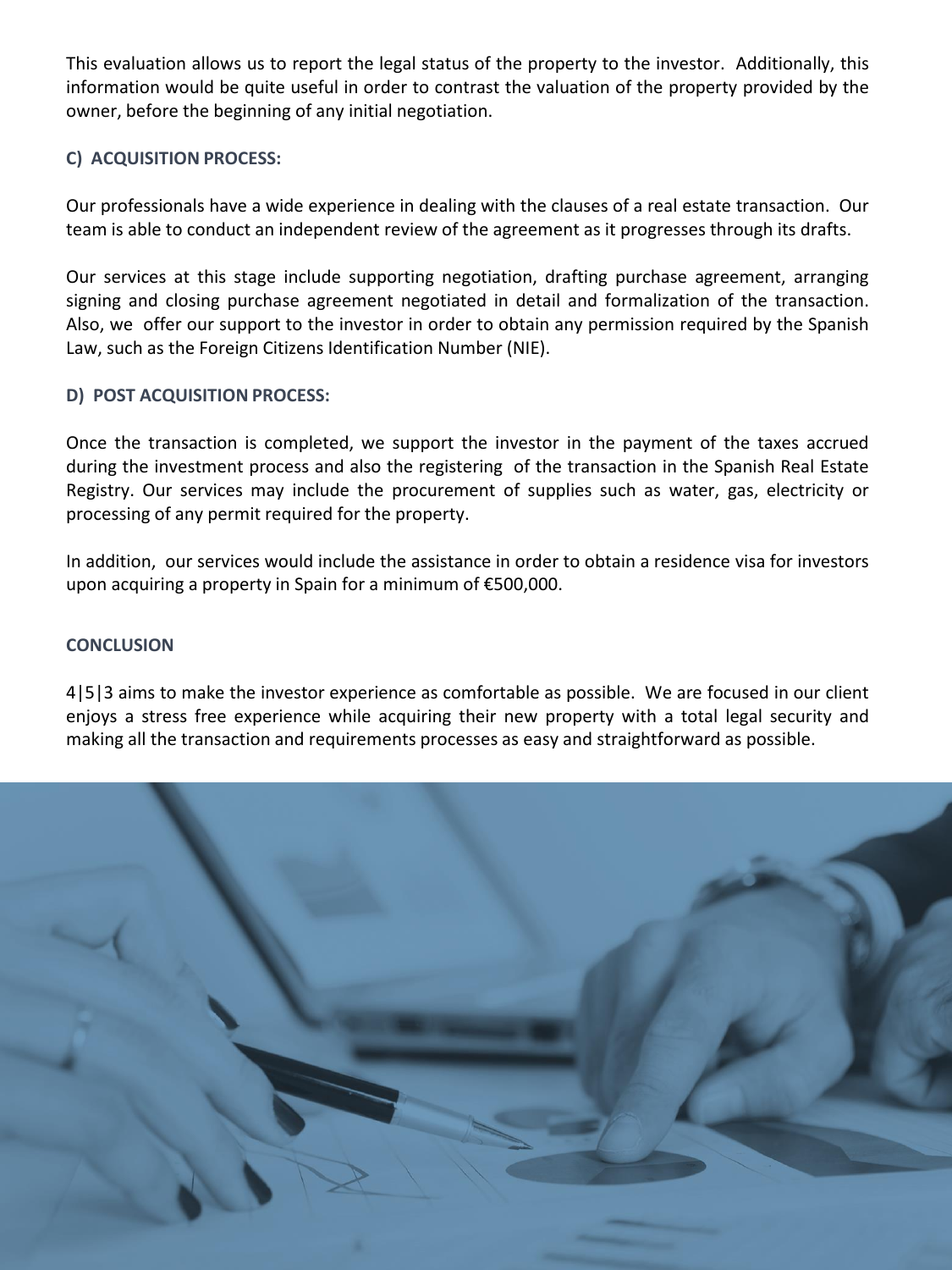This evaluation allows us to report the legal status of the property to the investor. Additionally, this information would be quite useful in order to contrast the valuation of the property provided by the owner, before the beginning of any initial negotiation.

# **C) ACQUISITION PROCESS:**

Our professionals have a wide experience in dealing with the clauses of a real estate transaction. Our team is able to conduct an independent review of the agreement as it progresses through its drafts.

Our services at this stage include supporting negotiation, drafting purchase agreement, arranging signing and closing purchase agreement negotiated in detail and formalization of the transaction. Also, we offer our support to the investor in order to obtain any permission required by the Spanish Law, such as the Foreign Citizens Identification Number (NIE).

# **D) POST ACQUISITION PROCESS:**

Once the transaction is completed, we support the investor in the payment of the taxes accrued during the investment process and also the registering of the transaction in the Spanish Real Estate Registry. Our services may include the procurement of supplies such as water, gas, electricity or processing of any permit required for the property.

In addition, our services would include the assistance in order to obtain a residence visa for investors upon acquiring a property in Spain for a minimum of €500,000.

### **CONCLUSION**

4|5|3 aims to make the investor experience as comfortable as possible. We are focused in our client enjoys a stress free experience while acquiring their new property with a total legal security and making all the transaction and requirements processes as easy and straightforward as possible.

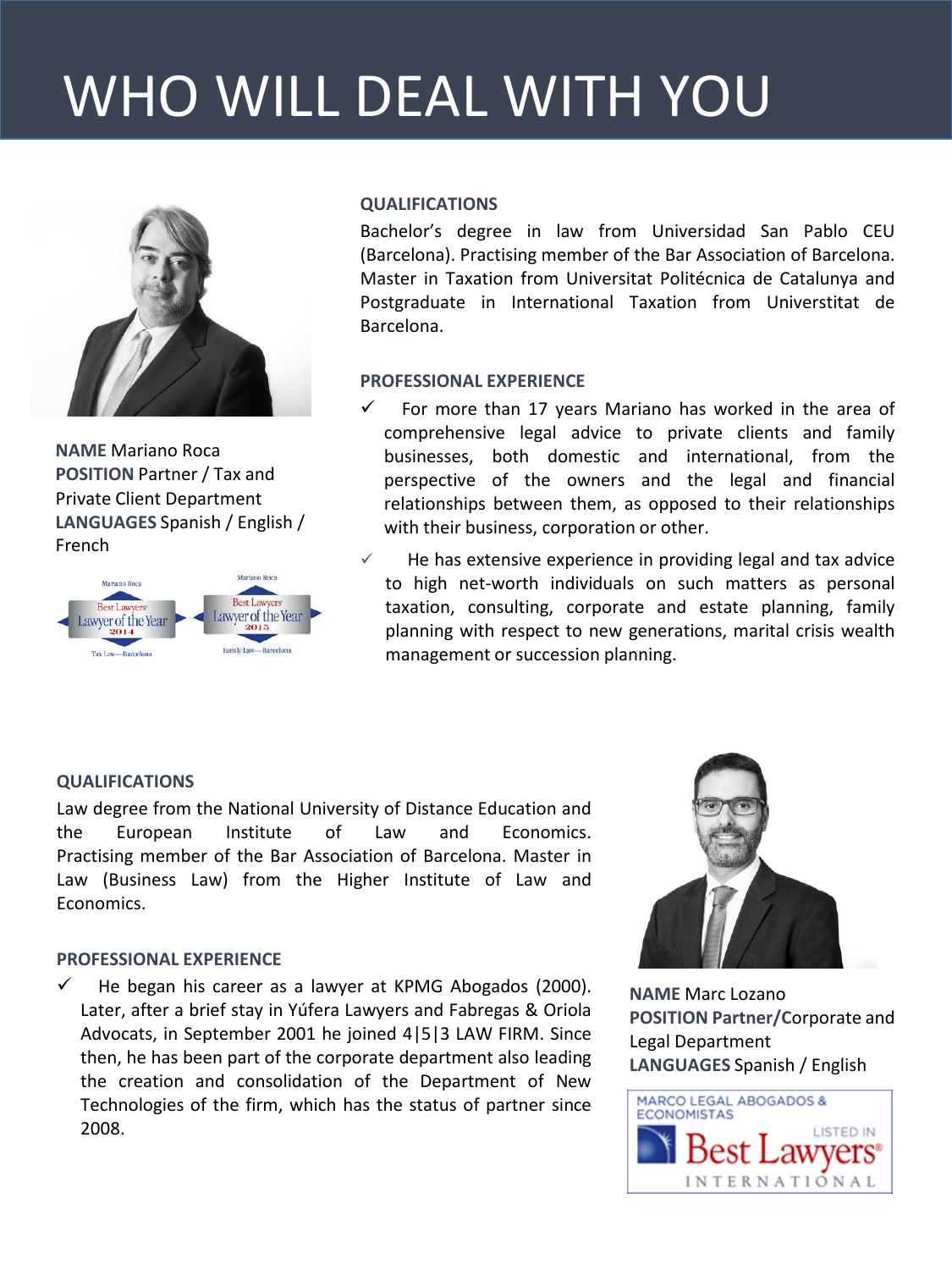# WHO WILL DEAL WITH YOU



**NAME** Mariano Roca **POSITION** Partner / Tax and Private Client Department **LANGUAGES** Spanish / English / French



# **QUALIFICATIONS**

Bachelor's degree in law from Universidad San Pablo CEU (Barcelona). Practising member of the Bar Association of Barcelona. Master in Taxation from Universitat Politécnica de Catalunya and Postgraduate in International Taxation from Universtitat de Barcelona.

# **PROFESSIONAL EXPERIENCE**

- For more than 17 years Mariano has worked in the area of comprehensive legal advice to private clients and family businesses, both domestic and international, from the perspective of the owners and the legal and financial relationships between them, as opposed to their relationships with their business, corporation or other.
- $\checkmark$  He has extensive experience in providing legal and tax advice to high net-worth individuals on such matters as personal taxation, consulting, corporate and estate planning, family planning with respect to new generations, marital crisis wealth management or succession planning.

# **QUALIFICATIONS**

Law degree from the National University of Distance Education and the European Institute of Law and Economics. Practising member of the Bar Association of Barcelona. Master in Law (Business Law) from the Higher Institute of Law and Economics.

### **PROFESSIONAL EXPERIENCE**

 He began his career as a lawyer at KPMG Abogados (2000). Later, after a brief stay in Yúfera Lawyers and Fabregas & Oriola Advocats, in September 2001 he joined 4|5|3 LAW FIRM. Since then, he has been part of the corporate department also leading the creation and consolidation of the Department of New Technologies of the firm, which has the status of partner since 2008.



**NAME** Marc Lozano **POSITION Partner/C**orporate and Legal Department **LANGUAGES** Spanish / English